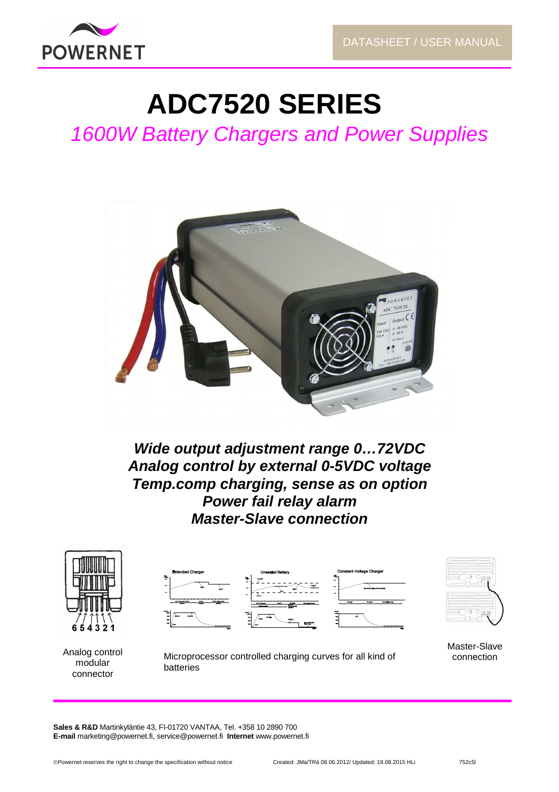

# **ADC7520 SERIES**

1600W Battery Chargers and Power Supplies



**Wide output adjustment range 0…72VDC Analog control by external 0-5VDC voltage Temp.comp charging, sense as on option Power fail relay alarm Master-Slave connection** 







Analog control modular connector

Microprocessor controlled charging curves for all kind of batteries

Master-Slave connection

**Sales & R&D** Martinkyläntie 43, FI-01720 VANTAA, Tel. +358 10 2890 700 **E-mail** marketing@powernet.fi, service@powernet.fi **Internet** www.powernet.fi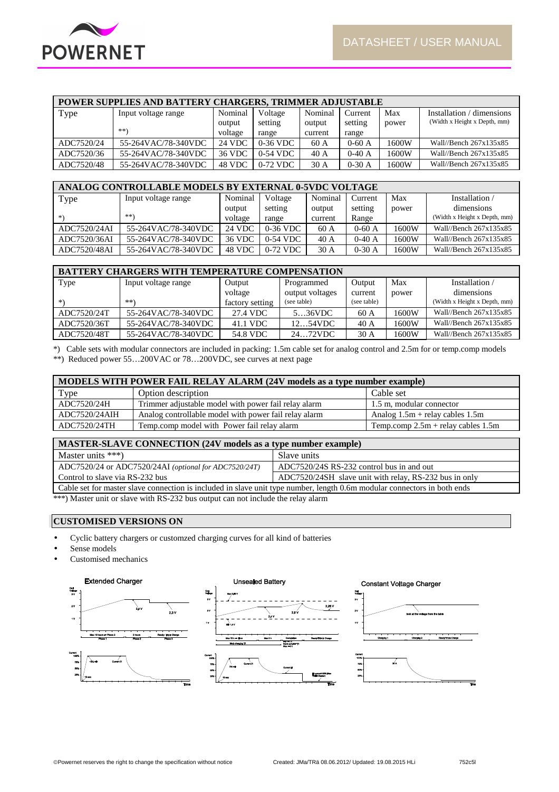

| <b>POWER SUPPLIES AND BATTERY CHARGERS, TRIMMER ADJUSTABLE</b> |                     |         |            |         |          |       |                              |  |  |
|----------------------------------------------------------------|---------------------|---------|------------|---------|----------|-------|------------------------------|--|--|
| Type                                                           | Input voltage range | Nominal | Voltage    | Nominal | Current  | Max   | Installation / dimensions    |  |  |
|                                                                |                     | output  | setting    | output  | setting  | power | (Width x Height x Depth, mm) |  |  |
|                                                                | **)                 | voltage | range      | current | range    |       |                              |  |  |
| ADC7520/24                                                     | 55-264VAC/78-340VDC | 24 VDC  | $0-36$ VDC | 60A     | $0-60$ A | 1600W | Wall//Bench $267x135x85$     |  |  |
| ADC7520/36                                                     | 55-264VAC/78-340VDC | 36 VDC  | $0-54$ VDC | 40A     | $0-40A$  | 1600W | Wall//Bench 267x135x85       |  |  |
| ADC7520/48                                                     | 55-264VAC/78-340VDC | 48 VDC  | 0-72 VDC   | 30A     | $0-30A$  | 1600W | Wall//Bench 267x135x85       |  |  |

| ANALOG CONTROLLABLE MODELS BY EXTERNAL 0-5VDC VOLTAGE |                     |         |            |         |          |       |                              |  |  |  |
|-------------------------------------------------------|---------------------|---------|------------|---------|----------|-------|------------------------------|--|--|--|
| Type                                                  | Input voltage range | Nominal | Voltage    | Nominal | Current  | Max   | Installation                 |  |  |  |
|                                                       |                     | output  | setting    | output  | setting  | power | dimensions                   |  |  |  |
| *)                                                    | **)                 | voltage | range      | current | Range    |       | (Width x Height x Depth, mm) |  |  |  |
| ADC7520/24AI                                          | 55-264VAC/78-340VDC | 24 VDC  | $0-36$ VDC | 60 A    | $0-60$ A | 1600W | Wall//Bench 267x135x85       |  |  |  |
| ADC7520/36AI                                          | 55-264VAC/78-340VDC | 36 VDC  | $0-54$ VDC | 40A     | $0-40$ A | 1600W | Wall//Bench $267x135x85$     |  |  |  |
| ADC7520/48AI                                          | 55-264VAC/78-340VDC | 48 VDC  | $0-72$ VDC | 30A     | $0-30A$  | 1600W | Wall//Bench $267x135x85$     |  |  |  |

| <b>BATTERY CHARGERS WITH TEMPERATURE COMPENSATION</b> |                     |                 |                 |             |       |                              |  |  |  |
|-------------------------------------------------------|---------------------|-----------------|-----------------|-------------|-------|------------------------------|--|--|--|
| Type                                                  | Input voltage range | Output          | Programmed      | Output      | Max   | Installation /               |  |  |  |
|                                                       |                     | voltage         | output voltages | current     | power | dimensions                   |  |  |  |
| *)                                                    | $***$               | factory setting | (see table)     | (see table) |       | (Width x Height x Depth, mm) |  |  |  |
| ADC7520/24T                                           | 55-264VAC/78-340VDC | 27.4 VDC        | 536VDC          | 60 A        | 1600W | Wall//Bench 267x135x85       |  |  |  |
| ADC7520/36T                                           | 55-264VAC/78-340VDC | 41.1 VDC        | 1254VDC         | 40A         | 1600W | Wall//Bench 267x135x85       |  |  |  |
| ADC7520/48T                                           | 55-264VAC/78-340VDC | 54.8 VDC        | 2472VDC         | 30A         | 1600W | Wall//Bench 267x135x85       |  |  |  |

\*) Cable sets with modular connectors are included in packing: 1.5m cable set for analog control and 2.5m for or temp.comp models \*\*) Reduced power 55...200VAC or 78...200VDC, see curves at next page

| MODELS WITH POWER FAIL RELAY ALARM (24V models as a type number example) |                                                       |                                      |  |  |  |  |
|--------------------------------------------------------------------------|-------------------------------------------------------|--------------------------------------|--|--|--|--|
| Type                                                                     | Option description                                    | Cable set                            |  |  |  |  |
| ADC7520/24H                                                              | Trimmer adjustable model with power fail relay alarm  | 1.5 m, modular connector             |  |  |  |  |
| ADC7520/24AIH                                                            | Analog controllable model with power fail relay alarm | Analog $1.5m$ + relay cables 1.5m    |  |  |  |  |
| ADC7520/24TH                                                             | Temp.comp model with Power fail relay alarm           | Temp.comp $2.5m$ + relay cables 1.5m |  |  |  |  |

| MASTER-SLAVE CONNECTION (24V models as a type number example)                                                                                                                                                                                                                  |                                                        |  |  |  |  |  |
|--------------------------------------------------------------------------------------------------------------------------------------------------------------------------------------------------------------------------------------------------------------------------------|--------------------------------------------------------|--|--|--|--|--|
| Master units $***$ )                                                                                                                                                                                                                                                           | Slave units                                            |  |  |  |  |  |
| ADC7520/24 or ADC7520/24AI (optional for ADC7520/24T)                                                                                                                                                                                                                          | ADC7520/24S RS-232 control bus in and out              |  |  |  |  |  |
| Control to slave via RS-232 bus                                                                                                                                                                                                                                                | ADC7520/24SH slave unit with relay, RS-232 bus in only |  |  |  |  |  |
| Cable set for master slave connection is included in slave unit type number, length 0.6m modular connectors in both ends                                                                                                                                                       |                                                        |  |  |  |  |  |
| www.a.e.com/ $\mathbf{1}$ . The contract of $\mathbf{1}$ is a set of $\mathbf{1}$ in $\mathbf{1}$ is a set of $\mathbf{1}$ in $\mathbf{1}$ is a set of $\mathbf{1}$ in $\mathbf{1}$ is a set of $\mathbf{1}$ in $\mathbf{1}$ is a set of $\mathbf{1}$ is a set of $\mathbf{1}$ |                                                        |  |  |  |  |  |

\*\*\*) Master unit or slave with RS-232 bus output can not include the relay alarm

# **CUSTOMISED VERSIONS ON**

- Cyclic battery chargers or customzed charging curves for all kind of batteries
- Sense models
- Customised mechanics

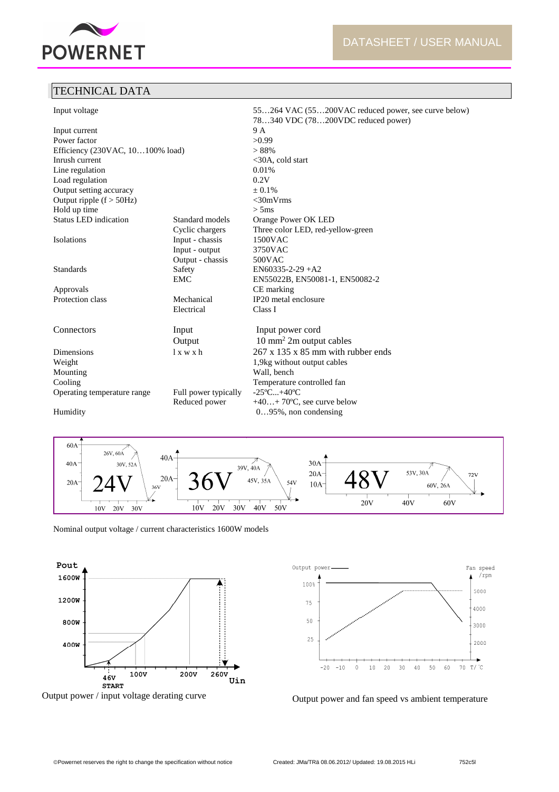

# TECHNICAL DATA

| Input voltage                    |                       | 55264 VAC (55200VAC reduced power, see curve below) |
|----------------------------------|-----------------------|-----------------------------------------------------|
|                                  |                       | 78340 VDC (78200VDC reduced power)                  |
| Input current<br>Power factor    |                       | 9 A<br>>0.99                                        |
|                                  |                       |                                                     |
| Efficiency (230VAC, 10100% load) |                       | > 88%                                               |
| Inrush current                   |                       | $<30A$ , cold start                                 |
| Line regulation                  |                       | 0.01%                                               |
| Load regulation                  |                       | 0.2V                                                |
| Output setting accuracy          |                       | $\pm 0.1\%$                                         |
| Output ripple $(f > 50Hz)$       |                       | $<$ 30mVrms                                         |
| Hold up time                     |                       | > 5ms                                               |
| <b>Status LED</b> indication     | Standard models       | Orange Power OK LED                                 |
|                                  | Cyclic chargers       | Three color LED, red-yellow-green                   |
| Isolations                       | Input - chassis       | 1500VAC                                             |
|                                  | Input - output        | 3750VAC                                             |
|                                  | Output - chassis      | 500VAC                                              |
| <b>Standards</b>                 | Safety                | $EN60335-2-29+A2$                                   |
|                                  | <b>EMC</b>            | EN55022B, EN50081-1, EN50082-2                      |
| Approvals                        |                       | CE marking                                          |
| Protection class                 | Mechanical            | IP20 metal enclosure                                |
|                                  | Electrical            | Class I                                             |
| Connectors                       | Input                 | Input power cord                                    |
|                                  | Output                | $10 \text{ mm}^2$ 2m output cables                  |
| Dimensions                       | $l \times w \times h$ | $267 \times 135 \times 85$ mm with rubber ends      |
| Weight                           |                       | 1,9kg without output cables                         |
| Mounting                         |                       | Wall, bench                                         |
| Cooling                          |                       | Temperature controlled fan                          |
| Operating temperature range      | Full power typically  | $-25^{\circ}$ C $+40^{\circ}$ C                     |
|                                  | Reduced power         | $+40+70$ °C, see curve below                        |
| Humidity                         |                       | $095\%$ , non condensing                            |



Nominal output voltage / current characteristics 1600W models



Output power / input voltage derating curve



Output power and fan speed vs ambient temperature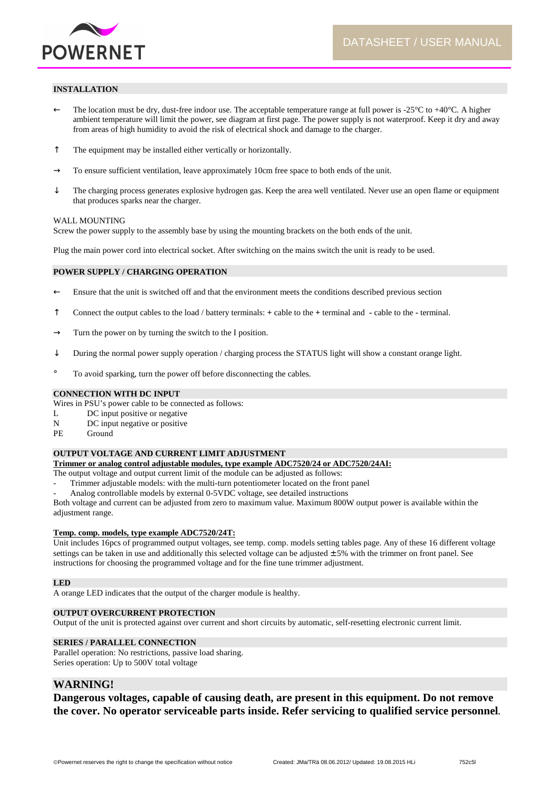

#### **INSTALLATION**

- $\leftarrow$  The location must be dry, dust-free indoor use. The acceptable temperature range at full power is -25 $\degree$ C to +40 $\degree$ C. A higher ambient temperature will limit the power, see diagram at first page. The power supply is not waterproof. Keep it dry and away from areas of high humidity to avoid the risk of electrical shock and damage to the charger.
- ↑ The equipment may be installed either vertically or horizontally.
- $\rightarrow$  To ensure sufficient ventilation, leave approximately 10cm free space to both ends of the unit.
- $\downarrow$  The charging process generates explosive hydrogen gas. Keep the area well ventilated. Never use an open flame or equipment that produces sparks near the charger.

#### WALL MOUNTING

Screw the power supply to the assembly base by using the mounting brackets on the both ends of the unit.

Plug the main power cord into electrical socket. After switching on the mains switch the unit is ready to be used.

#### **POWER SUPPLY / CHARGING OPERATION**

- ← Ensure that the unit is switched off and that the environment meets the conditions described previous section
- ↑ Connect the output cables to the load / battery terminals: **+** cable to the **+** terminal and **-** cable to the **-** terminal.
- $\rightarrow$  Turn the power on by turning the switch to the I position.
- $\downarrow$  During the normal power supply operation / charging process the STATUS light will show a constant orange light.
- ° To avoid sparking, turn the power off before disconnecting the cables.

#### **CONNECTION WITH DC INPUT**

Wires in PSU's power cable to be connected as follows:

- L DC input positive or negative
- N DC input negative or positive
- PE Ground

#### **OUTPUT VOLTAGE AND CURRENT LIMIT ADJUSTMENT**

**Trimmer or analog control adjustable modules, type example ADC7520/24 or ADC7520/24AI:** 

- The output voltage and output current limit of the module can be adjusted as follows:
- Trimmer adjustable models: with the multi-turn potentiometer located on the front panel
- Analog controllable models by external 0-5VDC voltage, see detailed instructions

Both voltage and current can be adjusted from zero to maximum value. Maximum 800W output power is available within the adjustment range.

#### **Temp. comp. models, type example ADC7520/24T:**

Unit includes 16pcs of programmed output voltages, see temp. comp. models setting tables page. Any of these 16 different voltage settings can be taken in use and additionally this selected voltage can be adjusted  $\pm$  5% with the trimmer on front panel. See instructions for choosing the programmed voltage and for the fine tune trimmer adjustment.

#### **LED**

A orange LED indicates that the output of the charger module is healthy.

#### **OUTPUT OVERCURRENT PROTECTION**

Output of the unit is protected against over current and short circuits by automatic, self-resetting electronic current limit.

#### **SERIES / PARALLEL CONNECTION**

Parallel operation: No restrictions, passive load sharing. Series operation: Up to 500V total voltage

# **WARNING!**

**Dangerous voltages, capable of causing death, are present in this equipment. Do not remove the cover. No operator serviceable parts inside. Refer servicing to qualified service personnel.**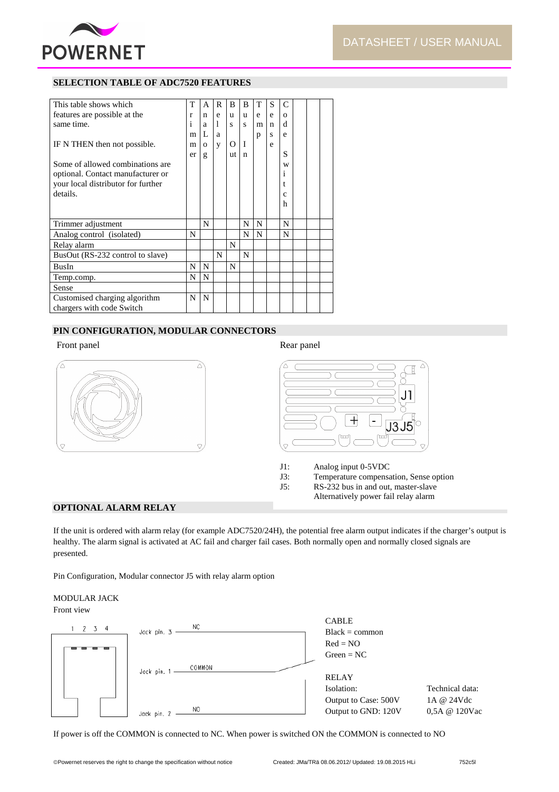

# **SELECTION TABLE OF ADC7520 FEATURES**

| This table shows which             | т  | A        | R | B  | B | T | S | C        |  |  |
|------------------------------------|----|----------|---|----|---|---|---|----------|--|--|
| features are possible at the       | r  | n        | e | u  | u | e | e | $\Omega$ |  |  |
| same time.                         | 1  | a        | 1 | s  | S | m | n | d        |  |  |
|                                    | m  | L        | a |    |   | р | S | e        |  |  |
| IF N THEN then not possible.       | m  | $\Omega$ | y | O  | T |   | e |          |  |  |
|                                    | er | g        |   | ut | n |   |   | S        |  |  |
| Some of allowed combinations are   |    |          |   |    |   |   |   | W        |  |  |
| optional. Contact manufacturer or  |    |          |   |    |   |   |   | 1        |  |  |
| your local distributor for further |    |          |   |    |   |   |   |          |  |  |
| details.                           |    |          |   |    |   |   |   | Ċ        |  |  |
|                                    |    |          |   |    |   |   |   | h        |  |  |
|                                    |    |          |   |    |   |   |   |          |  |  |
| Trimmer adjustment                 |    | N        |   |    | N | N |   | N        |  |  |
| Analog control (isolated)          | N  |          |   |    | N | N |   | N        |  |  |
| Relay alarm                        |    |          |   | N  |   |   |   |          |  |  |
| BusOut (RS-232 control to slave)   |    |          | N |    | N |   |   |          |  |  |
| <b>BusIn</b>                       | N  | N        |   | N  |   |   |   |          |  |  |
| Temp.comp.                         | N  | N        |   |    |   |   |   |          |  |  |
| Sense                              |    |          |   |    |   |   |   |          |  |  |
| Customised charging algorithm      | N  | N        |   |    |   |   |   |          |  |  |
| chargers with code Switch          |    |          |   |    |   |   |   |          |  |  |

# **PIN CONFIGURATION, MODULAR CONNECTORS**

# Front panel Rear panel Rear panel Rear panel Rear panel Rear panel Rear panel Rear panel Rear panel Rear panel





- J1: Analog input 0-5VDC
- J3: Temperature compensation, Sense option<br>J5: RS-232 bus in and out, master-slave
	- RS-232 bus in and out, master-slave
	- Alternatively power fail relay alarm

# **OPTIONAL ALARM RELAY**

If the unit is ordered with alarm relay (for example ADC7520/24H), the potential free alarm output indicates if the charger's output is healthy. The alarm signal is activated at AC fail and charger fail cases. Both normally open and normally closed signals are presented.

Pin Configuration, Modular connector J5 with relay alarm option

#### MODULAR JACK Front view





If power is off the COMMON is connected to NC. When power is switched ON the COMMON is connected to NO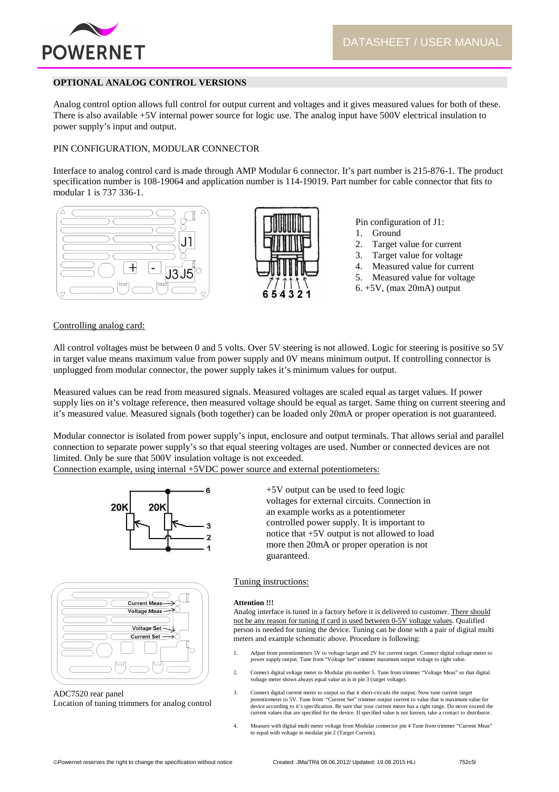

# **OPTIONAL ANALOG CONTROL VERSIONS**

Analog control option allows full control for output current and voltages and it gives measured values for both of these. There is also available +5V internal power source for logic use. The analog input have 500V electrical insulation to power supply's input and output.

# PIN CONFIGURATION, MODULAR CONNECTOR

Interface to analog control card is made through AMP Modular 6 connector. It's part number is 215-876-1. The product specification number is 108-19064 and application number is 114-19019. Part number for cable connector that fits to modular 1 is 737 336-1.





Pin configuration of J1:

- 1. Ground
- 2. Target value for current
- 3. Target value for voltage
- 4. Measured value for current
- 5. Measured value for voltage
- 6. +5V, (max 20mA) output

#### Controlling analog card:

All control voltages must be between 0 and 5 volts. Over 5V steering is not allowed. Logic for steering is positive so 5V in target value means maximum value from power supply and 0V means minimum output. If controlling connector is unplugged from modular connector, the power supply takes it's minimum values for output.

Measured values can be read from measured signals. Measured voltages are scaled equal as target values. If power supply lies on it's voltage reference, then measured voltage should be equal as target. Same thing on current steering and it's measured value. Measured signals (both together) can be loaded only 20mA or proper operation is not guaranteed.

Modular connector is isolated from power supply's input, enclosure and output terminals. That allows serial and parallel connection to separate power supply's so that equal steering voltages are used. Number or connected devices are not limited. Only be sure that 500V insulation voltage is not exceeded.

Connection example, using internal +5VDC power source and external potentiometers:





ADC7520 rear panel Location of tuning trimmers for analog control +5V output can be used to feed logic voltages for external circuits. Connection in an example works as a potentiometer controlled power supply. It is important to notice that +5V output is not allowed to load more then 20mA or proper operation is not guaranteed.

#### Tuning instructions:

#### **Attention !!!**

Analog interface is tuned in a factory before it is delivered to customer. There should not be any reason for tuning if card is used between 0-5V voltage values. Qualified person is needed for tuning the device. Tuning can be done with a pair of digital multi meters and example schematic above. Procedure is following:

- 1. Adjust from potentiometers 5V to voltage target and 2V for current target. Connect digital voltage meter to power supply output. Tune from "Voltage Set" trimmer maximum output voltage to right value.
- 2. Connect digital voltage meter to Modular pin number 5. Tune from trimmer "Voltage Meas" so that digital voltage meter shows always equal value as is in pin 3 (target voltage).
- 3. Connect digital current meter to output so that it short-circuits the output. Now tune current target potentiometer to 5V. Tune from "Current Set" trimmer output current to value that is maximum value for device according to it's specification. Be sure that your current meter has a right range. Do never exceed the current values that are specified for the device. If specified value is not known, take a contact to distributor.
- 4. Measure with digital multi meter voltage from Modular connector pin 4 Tune from trimmer "Current Meas" to equal with voltage in modular pin 2 (Target Current).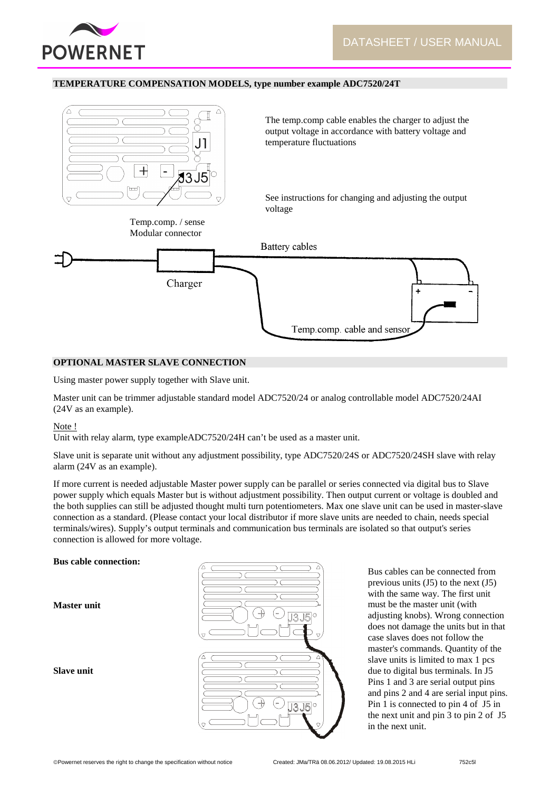

#### **TEMPERATURE COMPENSATION MODELS, type number example ADC7520/24T**



#### **OPTIONAL MASTER SLAVE CONNECTION**

Using master power supply together with Slave unit.

Master unit can be trimmer adjustable standard model ADC7520/24 or analog controllable model ADC7520/24AI (24V as an example).

#### Note !

Unit with relay alarm, type exampleADC7520/24H can't be used as a master unit.

Slave unit is separate unit without any adjustment possibility, type ADC7520/24S or ADC7520/24SH slave with relay alarm (24V as an example).

If more current is needed adjustable Master power supply can be parallel or series connected via digital bus to Slave power supply which equals Master but is without adjustment possibility. Then output current or voltage is doubled and the both supplies can still be adjusted thought multi turn potentiometers. Max one slave unit can be used in master-slave connection as a standard. (Please contact your local distributor if more slave units are needed to chain, needs special terminals/wires). Supply's output terminals and communication bus terminals are isolated so that output's series connection is allowed for more voltage.

# **Bus cable connection:**

**Master unit** 

**Slave unit** 



Bus cables can be connected from previous units  $(J5)$  to the next  $(J5)$ with the same way. The first unit must be the master unit (with adjusting knobs). Wrong connection does not damage the units but in that case slaves does not follow the master's commands. Quantity of the slave units is limited to max 1 pcs due to digital bus terminals. In J5 Pins 1 and 3 are serial output pins and pins 2 and 4 are serial input pins. Pin 1 is connected to pin 4 of J5 in the next unit and pin 3 to pin 2 of J5 in the next unit.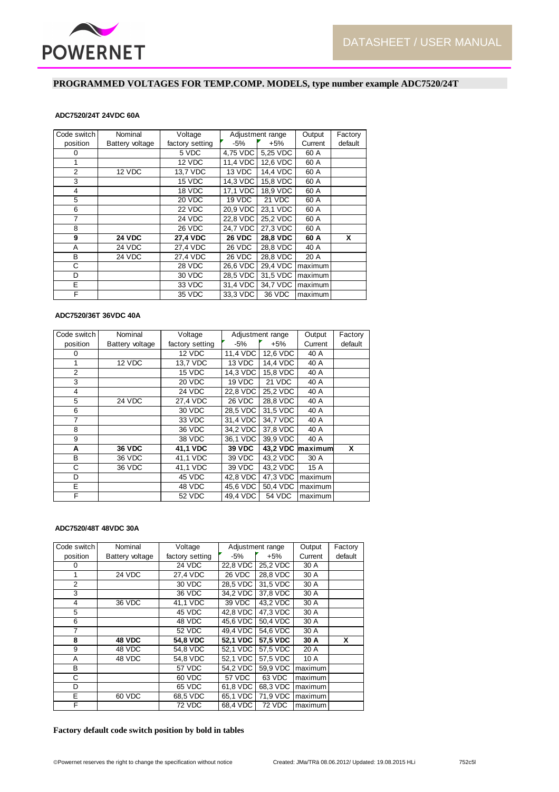

# **PROGRAMMED VOLTAGES FOR TEMP.COMP. MODELS, type number example ADC7520/24T**

#### **ADC7520/24T 24VDC 60A**

| Code switch | Nominal         | Voltage         |               | Adjustment range | Output  | Factory |
|-------------|-----------------|-----------------|---------------|------------------|---------|---------|
| position    | Battery voltage | factory setting | -5%           | $+5%$            | Current | default |
| 0           |                 | 5 VDC           | 4,75 VDC      | 5,25 VDC         | 60 A    |         |
| 1           |                 | 12 VDC          | 11,4 VDC      | 12,6 VDC         | 60 A    |         |
| 2           | 12 VDC          | 13,7 VDC        | 13 VDC        | 14.4 VDC         | 60 A    |         |
| 3           |                 | 15 VDC          | 14,3 VDC      | 15,8 VDC         | 60 A    |         |
| 4           |                 | 18 VDC          | 17,1 VDC      | 18.9 VDC         | 60 A    |         |
| 5           |                 | 20 VDC          | 19 VDC        | 21 VDC           | 60 A    |         |
| 6           |                 | 22 VDC          | 20,9 VDC      | 23.1 VDC         | 60 A    |         |
| 7           |                 | 24 VDC          | 22,8 VDC      | 25.2 VDC         | 60 A    |         |
| 8           |                 | 26 VDC          | 24,7 VDC      | 27.3 VDC         | 60 A    |         |
| 9           | <b>24 VDC</b>   | <b>27,4 VDC</b> | <b>26 VDC</b> | <b>28,8 VDC</b>  | 60 A    | X       |
| A           | <b>24 VDC</b>   | 27,4 VDC        | <b>26 VDC</b> | 28,8 VDC         | 40 A    |         |
| B           | <b>24 VDC</b>   | 27,4 VDC        | 26 VDC        | 28,8 VDC         | 20 A    |         |
| С           |                 | 28 VDC          | 26,6 VDC      | 29,4 VDC         | maximum |         |
| D           |                 | 30 VDC          | 28,5 VDC      | 31,5 VDC         | maximum |         |
| E           |                 | 33 VDC          | 31,4 VDC      | 34,7 VDC         | maximum |         |
| F           |                 | 35 VDC          | 33.3 VDC      | 36 VDC           | maximum |         |

# **ADC7520/36T 36VDC 40A**

| Code switch    | Nominal         | Voltage         |                         | Adjustment range | Output           | Factory |
|----------------|-----------------|-----------------|-------------------------|------------------|------------------|---------|
| position       | Battery voltage | factory setting | $-5%$                   | $+5%$            | Current          | default |
| 0              |                 | 12 VDC          | 11,4 VDC                | 12,6 VDC         | 40 A             |         |
| 1              | 12 VDC          | 13,7 VDC        | 13 VDC                  | 14,4 VDC         | 40 A             |         |
| 2              |                 | 15 VDC          | 14,3 VDC                | 15,8 VDC         | 40 A             |         |
| 3              |                 | 20 VDC          | 19 VDC                  | 21 VDC           | 40 A             |         |
| 4              |                 | 24 VDC          | 22,8 VDC                | 25,2 VDC         | 40 A             |         |
| 5              | 24 VDC          | 27,4 VDC        | 26 VDC                  | 28,8 VDC         | 40 A             |         |
| 6              |                 | 30 VDC          | 28,5 VDC                | 31,5 VDC         | 40 A             |         |
| $\overline{7}$ |                 | 33 VDC          | 31,4 VDC                | 34,7 VDC         | 40 A             |         |
| 8              |                 | 36 VDC          | 34,2 VDC                | 37,8 VDC         | 40 A             |         |
| 9              |                 | 38 VDC          | 36.1 VDC                | 39.9 VDC         | 40 A             |         |
| A              | <b>36 VDC</b>   | 41.1 VDC        | <b>39 VDC</b>           |                  | 43.2 VDC maximum | X       |
| B              | 36 VDC          | 41,1 VDC        | 39 VDC                  | 43,2 VDC         | 30 A             |         |
| C              | 36 VDC          | 41,1 VDC        | 39 VDC                  | 43,2 VDC         | 15 A             |         |
| D              |                 | 45 VDC          | 42,8 VDC                | 47,3 VDC         | maximum          |         |
| E.             |                 | 48 VDC          | 45,6 VDC                | 50,4 VDC         | maximum          |         |
| F              |                 | <b>52 VDC</b>   | $\overline{49}$ , 4 VDC | <b>54 VDC</b>    | maximum          |         |

#### **ADC7520/48T 48VDC 30A**

| Code switch    | Nominal         | Voltage         |          | Adjustment range | Output  | Factory |
|----------------|-----------------|-----------------|----------|------------------|---------|---------|
| position       | Battery voltage | factory setting | $-5%$    | $+5%$            | Current | default |
| 0              |                 | 24 VDC          | 22,8 VDC | 25,2 VDC         | 30 A    |         |
| 1              | 24 VDC          | 27,4 VDC        | 26 VDC   | 28,8 VDC         | 30 A    |         |
| $\overline{2}$ |                 | 30 VDC          | 28,5 VDC | 31.5 VDC         | 30 A    |         |
| 3              |                 | 36 VDC          | 34,2 VDC | 37,8 VDC         | 30 A    |         |
| $\overline{4}$ | 36 VDC          | 41.1 VDC        | 39 VDC   | 43,2 VDC         | 30 A    |         |
| 5              |                 | 45 VDC          | 42,8 VDC | 47,3 VDC         | 30 A    |         |
| 6              |                 | 48 VDC          | 45,6 VDC | 50,4 VDC         | 30 A    |         |
| 7              |                 | <b>52 VDC</b>   | 49,4 VDC | 54.6 VDC         | 30 A    |         |
| 8              | 48 VDC          | 54.8 VDC        | 52,1 VDC | 57.5 VDC         | 30 A    | x       |
| 9              | 48 VDC          | 54,8 VDC        | 52,1 VDC | 57,5 VDC         | 20 A    |         |
| A              | 48 VDC          | 54,8 VDC        | 52,1 VDC | 57,5 VDC         | 10 A    |         |
| B              |                 | 57 VDC          | 54,2 VDC | 59,9 VDC         | maximum |         |
| C              |                 | 60 VDC          | 57 VDC   | 63 VDC           | maximum |         |
| D              |                 | 65 VDC          | 61,8 VDC | 68,3 VDC         | maximum |         |
| E              | 60 VDC          | 68,5 VDC        | 65,1 VDC | 71,9 VDC         | maximum |         |
| F              |                 | 72 VDC          | 68.4 VDC | <b>72 VDC</b>    | maximum |         |

#### **Factory default code switch position by bold in tables**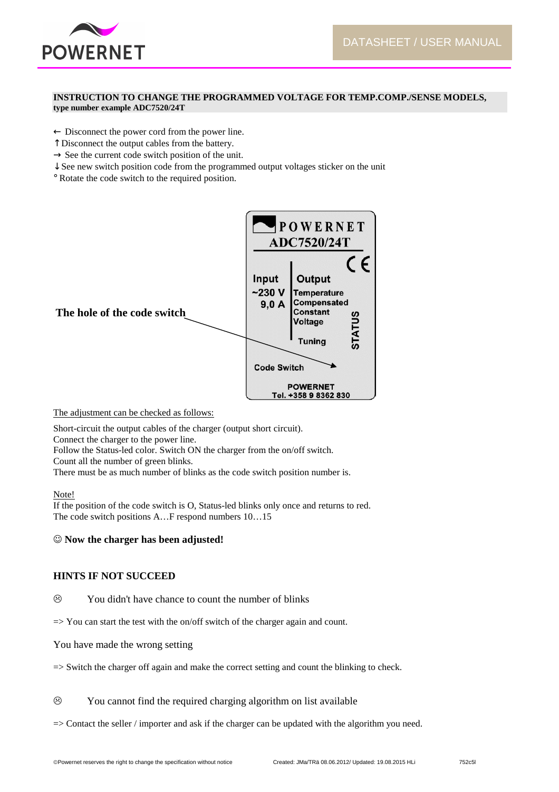

# **INSTRUCTION TO CHANGE THE PROGRAMMED VOLTAGE FOR TEMP.COMP./SENSE MODELS, type number example ADC7520/24T**

 $\leftarrow$  Disconnect the power cord from the power line.

- ↑ Disconnect the output cables from the battery.
- $\rightarrow$  See the current code switch position of the unit.
- ↓ See new switch position code from the programmed output voltages sticker on the unit
- ° Rotate the code switch to the required position.



The adjustment can be checked as follows:

Short-circuit the output cables of the charger (output short circuit).

Connect the charger to the power line.

Follow the Status-led color. Switch ON the charger from the on/off switch.

Count all the number of green blinks.

There must be as much number of blinks as the code switch position number is.

# Note!

If the position of the code switch is O, Status-led blinks only once and returns to red. The code switch positions A…F respond numbers 10…15

# ☺ **Now the charger has been adjusted!**

# **HINTS IF NOT SUCCEED**

- $\odot$ You didn't have chance to count the number of blinks
- $\Rightarrow$  You can start the test with the on/off switch of the charger again and count.
- You have made the wrong setting
- => Switch the charger off again and make the correct setting and count the blinking to check.

 $\circledR$ You cannot find the required charging algorithm on list available

=> Contact the seller / importer and ask if the charger can be updated with the algorithm you need.